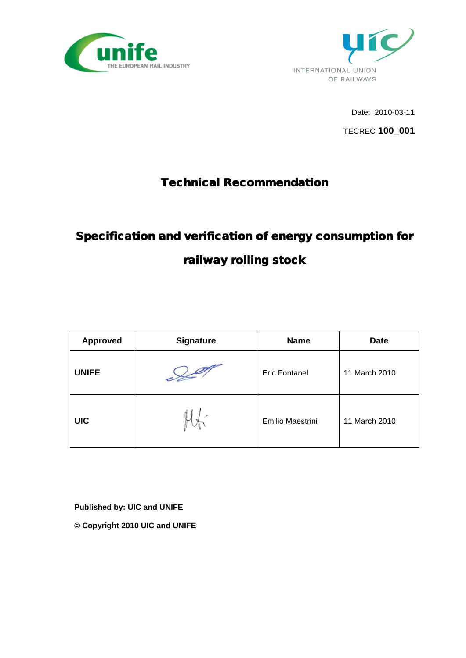



Date: 2010-03-11

TECREC **100\_001**

## Technical Recommendation

# Specification and verification of energy consumption for railway rolling stock

| <b>Approved</b> | <b>Signature</b> | <b>Name</b>          | <b>Date</b>   |
|-----------------|------------------|----------------------|---------------|
| <b>UNIFE</b>    |                  | <b>Eric Fontanel</b> | 11 March 2010 |
| <b>UIC</b>      |                  | Emilio Maestrini     | 11 March 2010 |

**Published by: UIC and UNIFE**

**© Copyright 2010 UIC and UNIFE**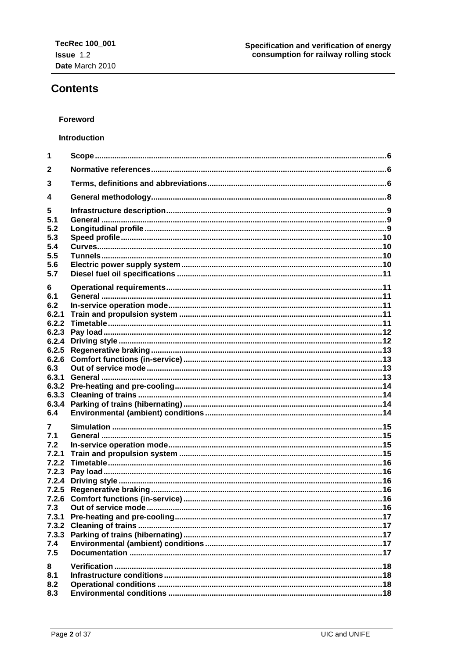## **Contents**

#### Foreword

#### Introduction

| 1            |  |
|--------------|--|
| $\mathbf{2}$ |  |
| 3            |  |
| 4            |  |
| 5            |  |
| 5.1          |  |
| 5.2          |  |
| 5.3          |  |
| 5.4          |  |
| 5.5<br>5.6   |  |
| 5.7          |  |
|              |  |
| 6            |  |
| 6.1          |  |
| 6.2          |  |
| 6.2.1        |  |
| 6.2.2        |  |
| 6.2.3        |  |
| 6.2.4        |  |
| 6.2.5        |  |
| 6.2.6        |  |
| 6.3          |  |
| 6.3.1        |  |
| 6.3.2        |  |
| 6.3.3        |  |
| 6.3.4        |  |
| 6.4          |  |
| $\mathbf{7}$ |  |
| 7.1          |  |
| 7.2          |  |
| 7.2.1        |  |
| 7.2.2        |  |
| 7.2.3        |  |
| 7.2.4        |  |
| 7.2.5        |  |
|              |  |
| 7.3          |  |
| 7.3.1        |  |
| 7.3.2        |  |
| 7.3.3        |  |
| 7.4          |  |
| 7.5          |  |
| 8            |  |
| 8.1          |  |
| 8.2          |  |
| 8.3          |  |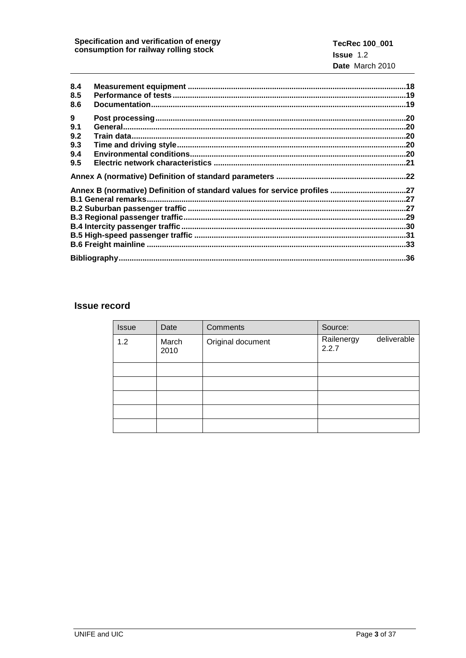| 8.4<br>8.5<br>8.6                    |                                                                           |  |
|--------------------------------------|---------------------------------------------------------------------------|--|
| 9<br>9.1<br>9.2<br>9.3<br>9.4<br>9.5 |                                                                           |  |
|                                      | Annex B (normative) Definition of standard values for service profiles 27 |  |
|                                      |                                                                           |  |
|                                      |                                                                           |  |

## **Issue record**

| <b>Issue</b> | Date          | Comments          | Source:                            |
|--------------|---------------|-------------------|------------------------------------|
| 1.2          | March<br>2010 | Original document | deliverable<br>Railenergy<br>2.2.7 |
|              |               |                   |                                    |
|              |               |                   |                                    |
|              |               |                   |                                    |
|              |               |                   |                                    |
|              |               |                   |                                    |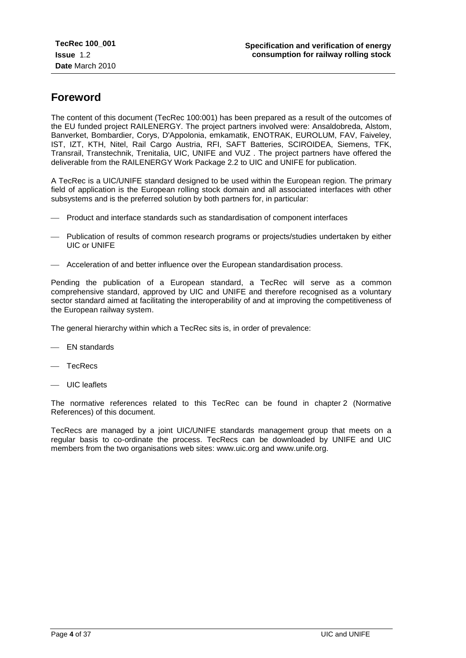## **Foreword**

The content of this document (TecRec 100:001) has been prepared as a result of the outcomes of the EU funded project RAILENERGY. The project partners involved were: Ansaldobreda, Alstom, Banverket, Bombardier, Corys, D'Appolonia, emkamatik, ENOTRAK, EUROLUM, FAV, Faiveley, IST, IZT, KTH, Nitel, Rail Cargo Austria, RFI, SAFT Batteries, SCIROIDEA, Siemens, TFK, Transrail, Transtechnik, Trenitalia, UIC, UNIFE and VUZ . The project partners have offered the deliverable from the RAILENERGY Work Package 2.2 to UIC and UNIFE for publication.

A TecRec is a UIC/UNIFE standard designed to be used within the European region. The primary field of application is the European rolling stock domain and all associated interfaces with other subsystems and is the preferred solution by both partners for, in particular:

- Product and interface standards such as standardisation of component interfaces
- Publication of results of common research programs or projects/studies undertaken by either UIC or UNIFE
- Acceleration of and better influence over the European standardisation process.

Pending the publication of a European standard, a TecRec will serve as a common comprehensive standard, approved by UIC and UNIFE and therefore recognised as a voluntary sector standard aimed at facilitating the interoperability of and at improving the competitiveness of the European railway system.

The general hierarchy within which a TecRec sits is, in order of prevalence:

- EN standards
- TecRecs
- $\equiv$  UIC leaflets

The normative references related to this TecRec can be found in chapter 2 (Normative References) of this document.

TecRecs are managed by a joint UIC/UNIFE standards management group that meets on a regular basis to co-ordinate the process. TecRecs can be downloaded by UNIFE and UIC members from the two organisations web sites: www.uic.org and www.unife.org.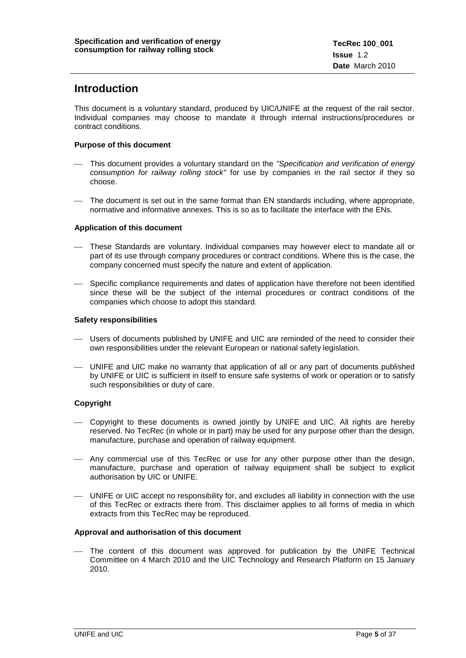## **Introduction**

This document is a voluntary standard, produced by UIC/UNIFE at the request of the rail sector. Individual companies may choose to mandate it through internal instructions/procedures or contract conditions.

#### **Purpose of this document**

- This document provides a voluntary standard on the *"Specification and verification of energy consumption for railway rolling stock"* for use by companies in the rail sector if they so choose.
- The document is set out in the same format than EN standards including, where appropriate, normative and informative annexes. This is so as to facilitate the interface with the ENs.

#### **Application of this document**

- These Standards are voluntary. Individual companies may however elect to mandate all or part of its use through company procedures or contract conditions. Where this is the case, the company concerned must specify the nature and extent of application.
- Specific compliance requirements and dates of application have therefore not been identified since these will be the subject of the internal procedures or contract conditions of the companies which choose to adopt this standard.

#### **Safety responsibilities**

- Users of documents published by UNIFE and UIC are reminded of the need to consider their own responsibilities under the relevant European or national safety legislation.
- UNIFE and UIC make no warranty that application of all or any part of documents published by UNIFE or UIC is sufficient in itself to ensure safe systems of work or operation or to satisfy such responsibilities or duty of care.

#### **Copyright**

- Copyright to these documents is owned jointly by UNIFE and UIC. All rights are hereby reserved. No TecRec (in whole or in part) may be used for any purpose other than the design, manufacture, purchase and operation of railway equipment.
- Any commercial use of this TecRec or use for any other purpose other than the design, manufacture, purchase and operation of railway equipment shall be subject to explicit authorisation by UIC or UNIFE.
- UNIFE or UIC accept no responsibility for, and excludes all liability in connection with the use of this TecRec or extracts there from. This disclaimer applies to all forms of media in which extracts from this TecRec may be reproduced.

#### **Approval and authorisation of this document**

 The content of this document was approved for publication by the UNIFE Technical Committee on 4 March 2010 and the UIC Technology and Research Platform on 15 January 2010.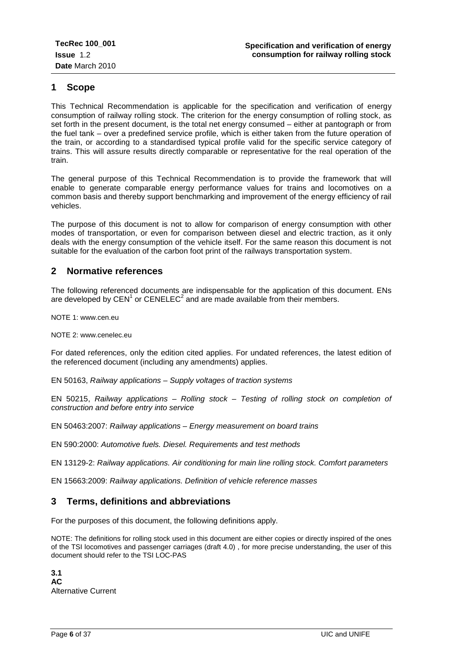## <span id="page-5-0"></span>**1 Scope**

This Technical Recommendation is applicable for the specification and verification of energy consumption of railway rolling stock. The criterion for the energy consumption of rolling stock, as set forth in the present document, is the total net energy consumed – either at pantograph or from the fuel tank – over a predefined service profile, which is either taken from the future operation of the train, or according to a standardised typical profile valid for the specific service category of trains. This will assure results directly comparable or representative for the real operation of the train.

The general purpose of this Technical Recommendation is to provide the framework that will enable to generate comparable energy performance values for trains and locomotives on a common basis and thereby support benchmarking and improvement of the energy efficiency of rail vehicles.

The purpose of this document is not to allow for comparison of energy consumption with other modes of transportation, or even for comparison between diesel and electric traction, as it only deals with the energy consumption of the vehicle itself. For the same reason this document is not suitable for the evaluation of the carbon foot print of the railways transportation system.

## <span id="page-5-1"></span>**2 Normative references**

The following referenced documents are indispensable for the application of this document. ENs are developed by  $CEN<sup>1</sup>$  or  $CENELEC<sup>2</sup>$  and are made available from their members.

NOTE 1: [www.cen.eu](http://www.cen.eu/)

NOTE 2: [www.cenelec.eu](http://www.cenelec.eu/)

For dated references, only the edition cited applies. For undated references, the latest edition of the referenced document (including any amendments) applies.

EN 50163, *Railway applications – Supply voltages of traction systems*

EN 50215, *Railway applications – Rolling stock – Testing of rolling stock on completion of construction and before entry into service*

EN 50463:2007: *Railway applications – Energy measurement on board trains*

EN 590:2000: *Automotive fuels. Diesel. Requirements and test methods*

EN 13129-2: *Railway applications. Air conditioning for main line rolling stock. Comfort parameters*

EN 15663:2009: *Railway applications. Definition of vehicle reference masses*

## <span id="page-5-2"></span>**3 Terms, definitions and abbreviations**

For the purposes of this document, the following definitions apply.

NOTE: The definitions for rolling stock used in this document are either copies or directly inspired of the ones of the TSI locomotives and passenger carriages (draft 4.0) , for more precise understanding, the user of this document should refer to the TSI LOC-PAS

**3.1 AC** Alternative Current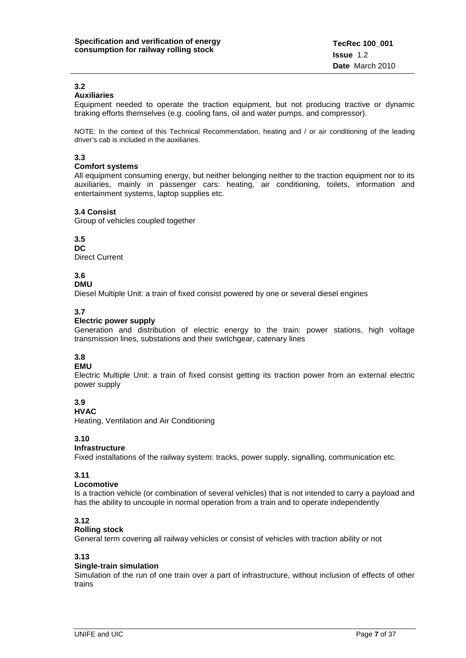## **3.2**

## **Auxiliaries**

Equipment needed to operate the traction equipment, but not producing tractive or dynamic braking efforts themselves (e.g. cooling fans, oil and water pumps, and compressor).

NOTE: In the context of this Technical Recommendation, heating and / or air conditioning of the leading driver's cab is included in the auxiliaries.

#### **3.3**

#### **Comfort systems**

All equipment consuming energy, but neither belonging neither to the traction equipment nor to its auxiliaries, mainly in passenger cars: heating, air conditioning, toilets, information and entertainment systems, laptop supplies etc.

#### **3.4 Consist**

Group of vehicles coupled together

#### **3.5**

**DC**

Direct Current

## **3.6**

#### **DMU**

Diesel Multiple Unit: a train of fixed consist powered by one or several diesel engines

#### **3.7**

#### **Electric power supply**

Generation and distribution of electric energy to the train: power stations, high voltage transmission lines, substations and their switchgear, catenary lines

## **3.8**

#### **EMU**

Electric Multiple Unit: a train of fixed consist getting its traction power from an external electric power supply

#### **3.9**

### **HVAC**

Heating, Ventilation and Air Conditioning

#### **3.10**

#### **Infrastructure**

Fixed installations of the railway system: tracks, power supply, signalling, communication etc.

#### **3.11**

#### **Locomotive**

Is a traction vehicle (or combination of several vehicles) that is not intended to carry a payload and has the ability to uncouple in normal operation from a train and to operate independently

#### **3.12**

#### **Rolling stock**

General term covering all railway vehicles or consist of vehicles with traction ability or not

#### **3.13**

#### **Single-train simulation**

Simulation of the run of one train over a part of infrastructure, without inclusion of effects of other trains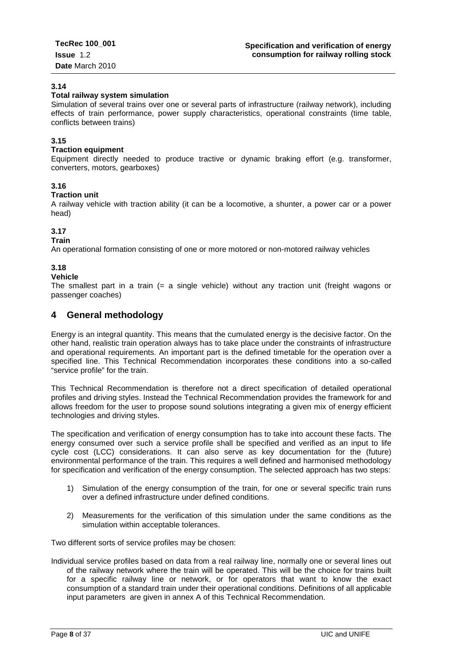#### **3.14**

#### **Total railway system simulation**

Simulation of several trains over one or several parts of infrastructure (railway network), including effects of train performance, power supply characteristics, operational constraints (time table, conflicts between trains)

#### **3.15**

#### **Traction equipment**

Equipment directly needed to produce tractive or dynamic braking effort (e.g. transformer, converters, motors, gearboxes)

#### **3.16**

#### **Traction unit**

A railway vehicle with traction ability (it can be a locomotive, a shunter, a power car or a power head)

#### **3.17**

#### **Train**

An operational formation consisting of one or more motored or non-motored railway vehicles

#### **3.18**

#### **Vehicle**

The smallest part in a train  $(= a \text{ single vehicle})$  without any traction unit (freight wagons or passenger coaches)

## <span id="page-7-0"></span>**4 General methodology**

Energy is an integral quantity. This means that the cumulated energy is the decisive factor. On the other hand, realistic train operation always has to take place under the constraints of infrastructure and operational requirements. An important part is the defined timetable for the operation over a specified line. This Technical Recommendation incorporates these conditions into a so-called "service profile" for the train.

This Technical Recommendation is therefore not a direct specification of detailed operational profiles and driving styles. Instead the Technical Recommendation provides the framework for and allows freedom for the user to propose sound solutions integrating a given mix of energy efficient technologies and driving styles.

The specification and verification of energy consumption has to take into account these facts. The energy consumed over such a service profile shall be specified and verified as an input to life cycle cost (LCC) considerations. It can also serve as key documentation for the (future) environmental performance of the train. This requires a well defined and harmonised methodology for specification and verification of the energy consumption. The selected approach has two steps:

- 1) Simulation of the energy consumption of the train, for one or several specific train runs over a defined infrastructure under defined conditions.
- 2) Measurements for the verification of this simulation under the same conditions as the simulation within acceptable tolerances.

Two different sorts of service profiles may be chosen:

Individual service profiles based on data from a real railway line, normally one or several lines out of the railway network where the train will be operated. This will be the choice for trains built for a specific railway line or network, or for operators that want to know the exact consumption of a standard train under their operational conditions. Definitions of all applicable input parameters are given in annex A of this Technical Recommendation.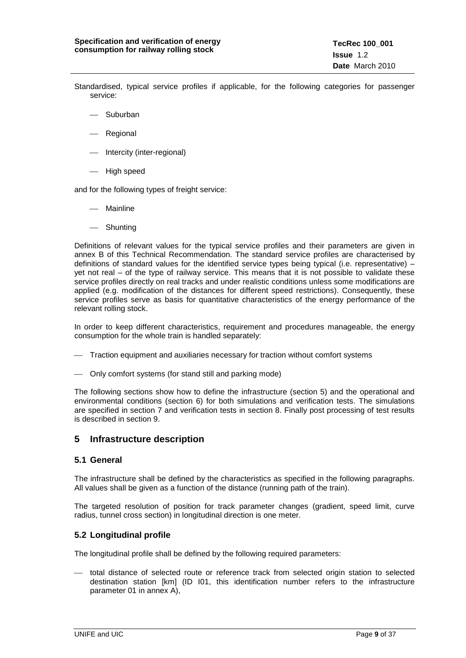- Standardised, typical service profiles if applicable, for the following categories for passenger service:
	- Suburban
	- **Regional**
	- Intercity (inter-regional)
	- High speed

and for the following types of freight service:

- Mainline
- Shunting

Definitions of relevant values for the typical service profiles and their parameters are given in annex B of this Technical Recommendation. The standard service profiles are characterised by definitions of standard values for the identified service types being typical (i.e. representative) – yet not real – of the type of railway service. This means that it is not possible to validate these service profiles directly on real tracks and under realistic conditions unless some modifications are applied (e.g. modification of the distances for different speed restrictions). Consequently, these service profiles serve as basis for quantitative characteristics of the energy performance of the relevant rolling stock.

In order to keep different characteristics, requirement and procedures manageable, the energy consumption for the whole train is handled separately:

- Traction equipment and auxiliaries necessary for traction without comfort systems
- Only comfort systems (for stand still and parking mode)

The following sections show how to define the infrastructure (section 5) and the operational and environmental conditions (section 6) for both simulations and verification tests. The simulations are specified in section 7 and verification tests in section 8. Finally post processing of test results is described in section 9.

## <span id="page-8-0"></span>**5 Infrastructure description**

#### <span id="page-8-1"></span>**5.1 General**

The infrastructure shall be defined by the characteristics as specified in the following paragraphs. All values shall be given as a function of the distance (running path of the train).

The targeted resolution of position for track parameter changes (gradient, speed limit, curve radius, tunnel cross section) in longitudinal direction is one meter.

#### <span id="page-8-2"></span>**5.2 Longitudinal profile**

The longitudinal profile shall be defined by the following required parameters:

 total distance of selected route or reference track from selected origin station to selected destination station [km] (ID I01, this identification number refers to the infrastructure parameter 01 in annex A),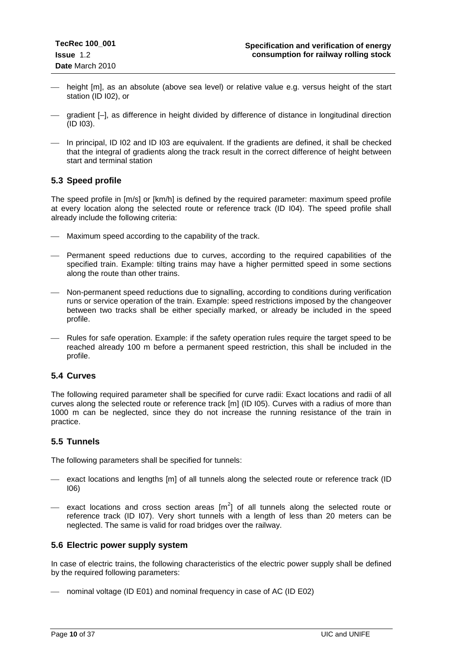- height [m], as an absolute (above sea level) or relative value e.g. versus height of the start station (ID I02), or
- gradient [–], as difference in height divided by difference of distance in longitudinal direction (ID I03).
- In principal, ID I02 and ID I03 are equivalent. If the gradients are defined, it shall be checked that the integral of gradients along the track result in the correct difference of height between start and terminal station

## <span id="page-9-0"></span>**5.3 Speed profile**

The speed profile in [m/s] or [km/h] is defined by the required parameter: maximum speed profile at every location along the selected route or reference track (ID I04). The speed profile shall already include the following criteria:

- Maximum speed according to the capability of the track.
- Permanent speed reductions due to curves, according to the required capabilities of the specified train. Example: tilting trains may have a higher permitted speed in some sections along the route than other trains.
- Non-permanent speed reductions due to signalling, according to conditions during verification runs or service operation of the train. Example: speed restrictions imposed by the changeover between two tracks shall be either specially marked, or already be included in the speed profile.
- Rules for safe operation. Example: if the safety operation rules require the target speed to be reached already 100 m before a permanent speed restriction, this shall be included in the profile.

#### <span id="page-9-1"></span>**5.4 Curves**

The following required parameter shall be specified for curve radii: Exact locations and radii of all curves along the selected route or reference track [m] (ID I05). Curves with a radius of more than 1000 m can be neglected, since they do not increase the running resistance of the train in practice.

#### <span id="page-9-2"></span>**5.5 Tunnels**

The following parameters shall be specified for tunnels:

- exact locations and lengths [m] of all tunnels along the selected route or reference track (ID I06)
- $-$  exact locations and cross section areas  $[m^2]$  of all tunnels along the selected route or reference track (ID I07). Very short tunnels with a length of less than 20 meters can be neglected. The same is valid for road bridges over the railway.

#### <span id="page-9-3"></span>**5.6 Electric power supply system**

In case of electric trains, the following characteristics of the electric power supply shall be defined by the required following parameters:

nominal voltage (ID E01) and nominal frequency in case of AC (ID E02)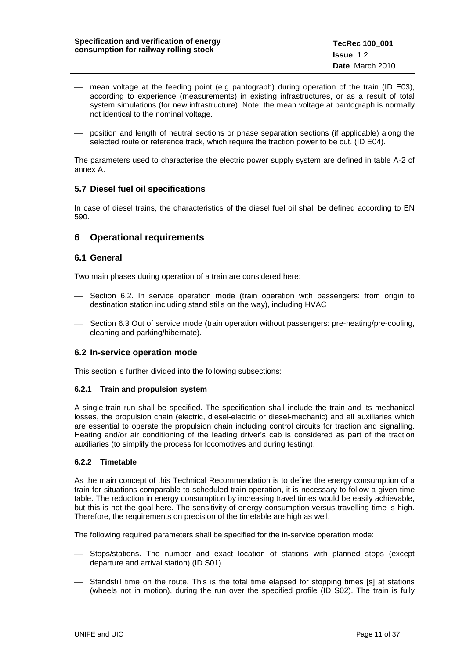- mean voltage at the feeding point (e.g pantograph) during operation of the train (ID E03), according to experience (measurements) in existing infrastructures, or as a result of total system simulations (for new infrastructure). Note: the mean voltage at pantograph is normally not identical to the nominal voltage.
- position and length of neutral sections or phase separation sections (if applicable) along the selected route or reference track, which require the traction power to be cut. (ID E04).

The parameters used to characterise the electric power supply system are defined in table A-2 of annex A.

#### <span id="page-10-0"></span>**5.7 Diesel fuel oil specifications**

In case of diesel trains, the characteristics of the diesel fuel oil shall be defined according to EN 590.

## <span id="page-10-1"></span>**6 Operational requirements**

#### <span id="page-10-2"></span>**6.1 General**

Two main phases during operation of a train are considered here:

- Section 6.2. In service operation mode (train operation with passengers: from origin to destination station including stand stills on the way), including HVAC
- Section 6.3 Out of service mode (train operation without passengers: pre-heating/pre-cooling, cleaning and parking/hibernate).

#### <span id="page-10-3"></span>**6.2 In-service operation mode**

This section is further divided into the following subsections:

#### <span id="page-10-4"></span>**6.2.1 Train and propulsion system**

A single-train run shall be specified. The specification shall include the train and its mechanical losses, the propulsion chain (electric, diesel-electric or diesel-mechanic) and all auxiliaries which are essential to operate the propulsion chain including control circuits for traction and signalling. Heating and/or air conditioning of the leading driver's cab is considered as part of the traction auxiliaries (to simplify the process for locomotives and during testing).

#### <span id="page-10-5"></span>**6.2.2 Timetable**

As the main concept of this Technical Recommendation is to define the energy consumption of a train for situations comparable to scheduled train operation, it is necessary to follow a given time table. The reduction in energy consumption by increasing travel times would be easily achievable, but this is not the goal here. The sensitivity of energy consumption versus travelling time is high. Therefore, the requirements on precision of the timetable are high as well.

The following required parameters shall be specified for the in-service operation mode:

- Stops/stations. The number and exact location of stations with planned stops (except departure and arrival station) (ID S01).
- Standstill time on the route. This is the total time elapsed for stopping times [s] at stations (wheels not in motion), during the run over the specified profile (ID S02). The train is fully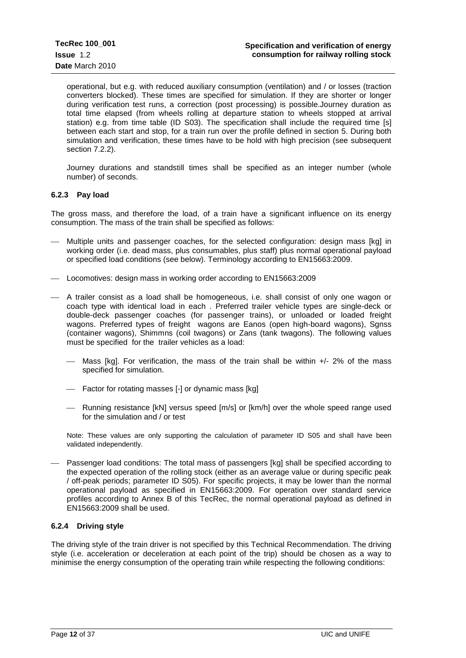operational, but e.g. with reduced auxiliary consumption (ventilation) and / or losses (traction converters blocked). These times are specified for simulation. If they are shorter or longer during verification test runs, a correction (post processing) is possible.Journey duration as total time elapsed (from wheels rolling at departure station to wheels stopped at arrival station) e.g. from time table (ID S03). The specification shall include the required time [s] between each start and stop, for a train run over the profile defined in section 5. During both simulation and verification, these times have to be hold with high precision (see subsequent section 7.2.2).

Journey durations and standstill times shall be specified as an integer number (whole number) of seconds.

#### <span id="page-11-0"></span>**6.2.3 Pay load**

The gross mass, and therefore the load, of a train have a significant influence on its energy consumption. The mass of the train shall be specified as follows:

- Multiple units and passenger coaches, for the selected configuration: design mass [kg] in working order (i.e. dead mass, plus consumables, plus staff) plus normal operational payload or specified load conditions (see below). Terminology according to EN15663:2009.
- Locomotives: design mass in working order according to EN15663:2009
- A trailer consist as a load shall be homogeneous, i.e. shall consist of only one wagon or coach type with identical load in each . Preferred trailer vehicle types are single-deck or double-deck passenger coaches (for passenger trains), or unloaded or loaded freight wagons. Preferred types of freight wagons are Eanos (open high-board wagons), Sgnss (container wagons), Shimmns (coil twagons) or Zans (tank twagons). The following values must be specified for the trailer vehicles as a load:
	- $-$  Mass [kg]. For verification, the mass of the train shall be within  $+/-$  2% of the mass specified for simulation.
	- Factor for rotating masses [-] or dynamic mass [kg]
	- $-$  Running resistance [kN] versus speed  $[m/s]$  or  $[km/h]$  over the whole speed range used for the simulation and / or test

Note: These values are only supporting the calculation of parameter ID S05 and shall have been validated independently.

 Passenger load conditions: The total mass of passengers [kg] shall be specified according to the expected operation of the rolling stock (either as an average value or during specific peak / off-peak periods; parameter ID S05). For specific projects, it may be lower than the normal operational payload as specified in EN15663:2009. For operation over standard service profiles according to Annex B of this TecRec, the normal operational payload as defined in EN15663:2009 shall be used.

#### <span id="page-11-1"></span>**6.2.4 Driving style**

The driving style of the train driver is not specified by this Technical Recommendation. The driving style (i.e. acceleration or deceleration at each point of the trip) should be chosen as a way to minimise the energy consumption of the operating train while respecting the following conditions: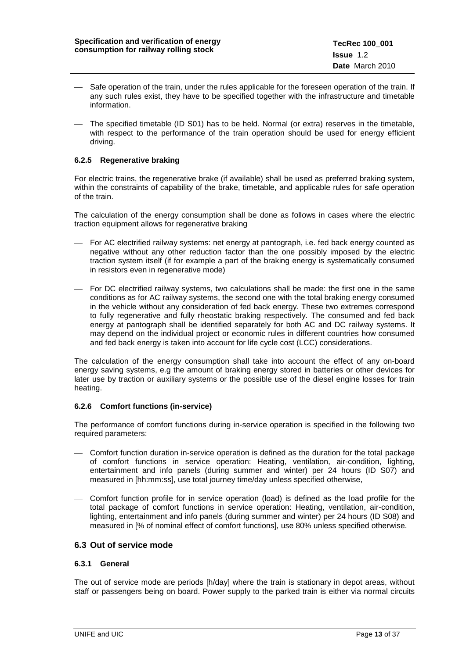- $-$  Safe operation of the train, under the rules applicable for the foreseen operation of the train. If any such rules exist, they have to be specified together with the infrastructure and timetable information.
- The specified timetable (ID S01) has to be held. Normal (or extra) reserves in the timetable, with respect to the performance of the train operation should be used for energy efficient driving.

#### <span id="page-12-0"></span>**6.2.5 Regenerative braking**

For electric trains, the regenerative brake (if available) shall be used as preferred braking system, within the constraints of capability of the brake, timetable, and applicable rules for safe operation of the train.

The calculation of the energy consumption shall be done as follows in cases where the electric traction equipment allows for regenerative braking

- For AC electrified railway systems: net energy at pantograph, i.e. fed back energy counted as negative without any other reduction factor than the one possibly imposed by the electric traction system itself (if for example a part of the braking energy is systematically consumed in resistors even in regenerative mode)
- For DC electrified railway systems, two calculations shall be made: the first one in the same conditions as for AC railway systems, the second one with the total braking energy consumed in the vehicle without any consideration of fed back energy. These two extremes correspond to fully regenerative and fully rheostatic braking respectively. The consumed and fed back energy at pantograph shall be identified separately for both AC and DC railway systems. It may depend on the individual project or economic rules in different countries how consumed and fed back energy is taken into account for life cycle cost (LCC) considerations.

The calculation of the energy consumption shall take into account the effect of any on-board energy saving systems, e.g the amount of braking energy stored in batteries or other devices for later use by traction or auxiliary systems or the possible use of the diesel engine losses for train heating.

#### <span id="page-12-1"></span>**6.2.6 Comfort functions (in-service)**

The performance of comfort functions during in-service operation is specified in the following two required parameters:

- Comfort function duration in-service operation is defined as the duration for the total package of comfort functions in service operation: Heating, ventilation, air-condition, lighting, entertainment and info panels (during summer and winter) per 24 hours (ID S07) and measured in [hh:mm:ss], use total journey time/day unless specified otherwise,
- Comfort function profile for in service operation (load) is defined as the load profile for the total package of comfort functions in service operation: Heating, ventilation, air-condition, lighting, entertainment and info panels (during summer and winter) per 24 hours (ID S08) and measured in [% of nominal effect of comfort functions], use 80% unless specified otherwise.

#### <span id="page-12-2"></span>**6.3 Out of service mode**

#### <span id="page-12-3"></span>**6.3.1 General**

The out of service mode are periods [h/day] where the train is stationary in depot areas, without staff or passengers being on board. Power supply to the parked train is either via normal circuits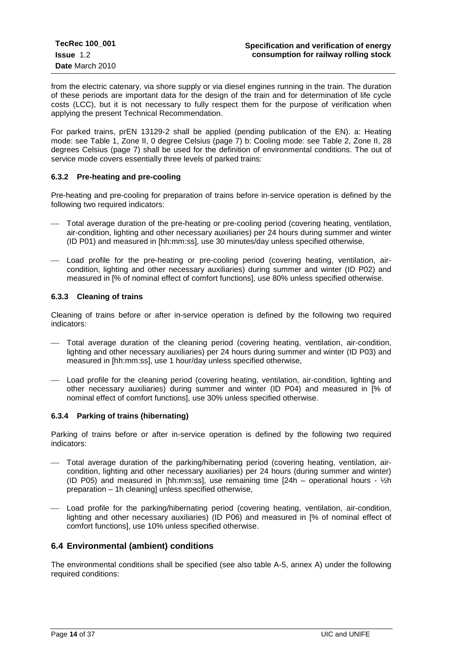from the electric catenary, via shore supply or via diesel engines running in the train. The duration of these periods are important data for the design of the train and for determination of life cycle costs (LCC), but it is not necessary to fully respect them for the purpose of verification when applying the present Technical Recommendation.

For parked trains, prEN 13129-2 shall be applied (pending publication of the EN). a: Heating mode: see Table 1, Zone II, 0 degree Celsius (page 7) b: Cooling mode: see Table 2, Zone II, 28 degrees Celsius (page 7) shall be used for the definition of environmental conditions. The out of service mode covers essentially three levels of parked trains:

#### <span id="page-13-0"></span>**6.3.2 Pre-heating and pre-cooling**

Pre-heating and pre-cooling for preparation of trains before in-service operation is defined by the following two required indicators:

- Total average duration of the pre-heating or pre-cooling period (covering heating, ventilation, air-condition, lighting and other necessary auxiliaries) per 24 hours during summer and winter (ID P01) and measured in [hh:mm:ss], use 30 minutes/day unless specified otherwise,
- Load profile for the pre-heating or pre-cooling period (covering heating, ventilation, aircondition, lighting and other necessary auxiliaries) during summer and winter (ID P02) and measured in [% of nominal effect of comfort functions], use 80% unless specified otherwise.

#### <span id="page-13-1"></span>**6.3.3 Cleaning of trains**

Cleaning of trains before or after in-service operation is defined by the following two required indicators:

- Total average duration of the cleaning period (covering heating, ventilation, air-condition, lighting and other necessary auxiliaries) per 24 hours during summer and winter (ID P03) and measured in [hh:mm:ss], use 1 hour/day unless specified otherwise,
- Load profile for the cleaning period (covering heating, ventilation, air-condition, lighting and other necessary auxiliaries) during summer and winter (ID P04) and measured in [% of nominal effect of comfort functions], use 30% unless specified otherwise.

#### <span id="page-13-2"></span>**6.3.4 Parking of trains (hibernating)**

Parking of trains before or after in-service operation is defined by the following two required indicators:

- Total average duration of the parking/hibernating period (covering heating, ventilation, aircondition, lighting and other necessary auxiliaries) per 24 hours (during summer and winter) (ID P05) and measured in [hh:mm:ss], use remaining time  $124h -$  operational hours -  $\frac{1}{2}h$ preparation – 1h cleaning] unless specified otherwise,
- Load profile for the parking/hibernating period (covering heating, ventilation, air-condition, lighting and other necessary auxiliaries) (ID P06) and measured in [% of nominal effect of comfort functions], use 10% unless specified otherwise.

## <span id="page-13-3"></span>**6.4 Environmental (ambient) conditions**

The environmental conditions shall be specified (see also table A-5, annex A) under the following required conditions: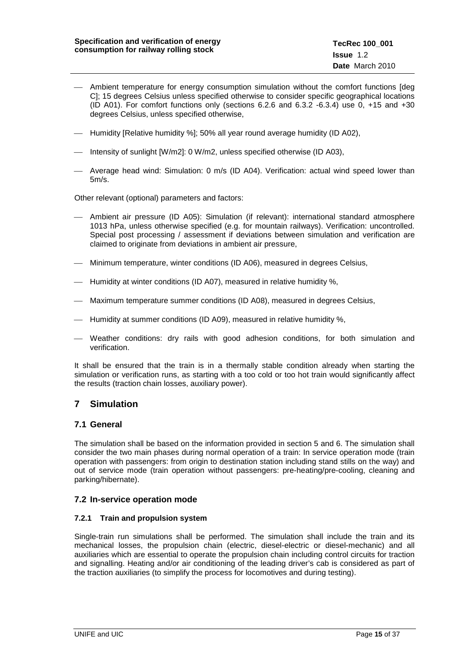- Ambient temperature for energy consumption simulation without the comfort functions [deg C]; 15 degrees Celsius unless specified otherwise to consider specific geographical locations (ID A01). For comfort functions only (sections  $6.2.6$  and  $6.3.2$  -6.3.4) use 0,  $+15$  and  $+30$ degrees Celsius, unless specified otherwise,
- $-$  Humidity [Relative humidity %]; 50% all year round average humidity (ID A02),
- Intensity of sunlight [W/m2]: 0 W/m2, unless specified otherwise (ID A03),
- Average head wind: Simulation: 0 m/s (ID A04). Verification: actual wind speed lower than 5m/s.

Other relevant (optional) parameters and factors:

- Ambient air pressure (ID A05): Simulation (if relevant): international standard atmosphere 1013 hPa, unless otherwise specified (e.g. for mountain railways). Verification: uncontrolled. Special post processing / assessment if deviations between simulation and verification are claimed to originate from deviations in ambient air pressure,
- Minimum temperature, winter conditions (ID A06), measured in degrees Celsius,
- Humidity at winter conditions (ID A07), measured in relative humidity %,
- Maximum temperature summer conditions (ID A08), measured in degrees Celsius,
- Humidity at summer conditions (ID A09), measured in relative humidity %,
- Weather conditions: dry rails with good adhesion conditions, for both simulation and verification.

It shall be ensured that the train is in a thermally stable condition already when starting the simulation or verification runs, as starting with a too cold or too hot train would significantly affect the results (traction chain losses, auxiliary power).

## <span id="page-14-0"></span>**7 Simulation**

#### <span id="page-14-1"></span>**7.1 General**

The simulation shall be based on the information provided in section 5 and 6. The simulation shall consider the two main phases during normal operation of a train: In service operation mode (train operation with passengers: from origin to destination station including stand stills on the way) and out of service mode (train operation without passengers: pre-heating/pre-cooling, cleaning and parking/hibernate).

#### <span id="page-14-2"></span>**7.2 In-service operation mode**

#### <span id="page-14-3"></span>**7.2.1 Train and propulsion system**

Single-train run simulations shall be performed. The simulation shall include the train and its mechanical losses, the propulsion chain (electric, diesel-electric or diesel-mechanic) and all auxiliaries which are essential to operate the propulsion chain including control circuits for traction and signalling. Heating and/or air conditioning of the leading driver's cab is considered as part of the traction auxiliaries (to simplify the process for locomotives and during testing).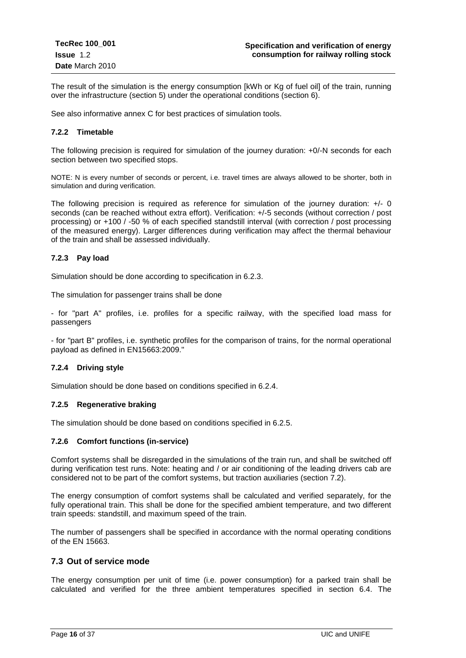The result of the simulation is the energy consumption [kWh or Kg of fuel oil] of the train, running over the infrastructure (section 5) under the operational conditions (section 6).

See also informative annex C for best practices of simulation tools.

#### <span id="page-15-0"></span>**7.2.2 Timetable**

The following precision is required for simulation of the journey duration: +0/-N seconds for each section between two specified stops.

NOTE: N is every number of seconds or percent, i.e. travel times are always allowed to be shorter, both in simulation and during verification.

The following precision is required as reference for simulation of the journey duration: +/- 0 seconds (can be reached without extra effort). Verification: +/-5 seconds (without correction / post processing) or +100 / -50 % of each specified standstill interval (with correction / post processing of the measured energy). Larger differences during verification may affect the thermal behaviour of the train and shall be assessed individually.

#### <span id="page-15-1"></span>**7.2.3 Pay load**

Simulation should be done according to specification in 6.2.3.

The simulation for passenger trains shall be done

- for "part A" profiles, i.e. profiles for a specific railway, with the specified load mass for passengers

- for "part B" profiles, i.e. synthetic profiles for the comparison of trains, for the normal operational payload as defined in EN15663:2009."

#### <span id="page-15-2"></span>**7.2.4 Driving style**

Simulation should be done based on conditions specified in 6.2.4.

#### <span id="page-15-3"></span>**7.2.5 Regenerative braking**

The simulation should be done based on conditions specified in 6.2.5.

#### <span id="page-15-4"></span>**7.2.6 Comfort functions (in-service)**

Comfort systems shall be disregarded in the simulations of the train run, and shall be switched off during verification test runs. Note: heating and / or air conditioning of the leading drivers cab are considered not to be part of the comfort systems, but traction auxiliaries (section 7.2).

The energy consumption of comfort systems shall be calculated and verified separately, for the fully operational train. This shall be done for the specified ambient temperature, and two different train speeds: standstill, and maximum speed of the train.

The number of passengers shall be specified in accordance with the normal operating conditions of the EN 15663.

#### <span id="page-15-5"></span>**7.3 Out of service mode**

The energy consumption per unit of time (i.e. power consumption) for a parked train shall be calculated and verified for the three ambient temperatures specified in section 6.4. The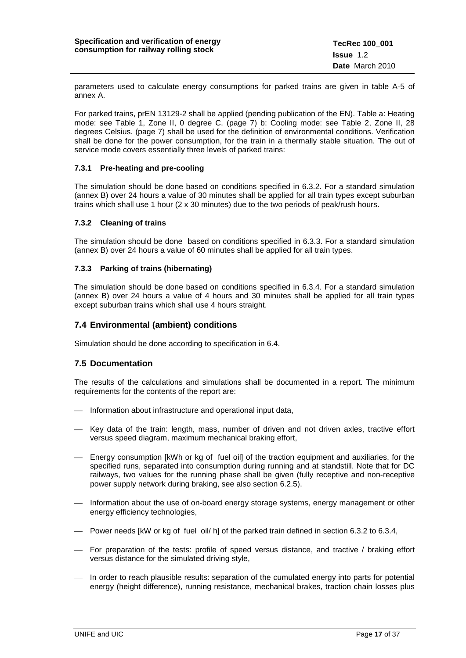parameters used to calculate energy consumptions for parked trains are given in table A-5 of annex A.

For parked trains, prEN 13129-2 shall be applied (pending publication of the EN). Table a: Heating mode: see Table 1, Zone II, 0 degree C. (page 7) b: Cooling mode: see Table 2, Zone II, 28 degrees Celsius. (page 7) shall be used for the definition of environmental conditions. Verification shall be done for the power consumption, for the train in a thermally stable situation. The out of service mode covers essentially three levels of parked trains:

#### <span id="page-16-0"></span>**7.3.1 Pre-heating and pre-cooling**

The simulation should be done based on conditions specified in 6.3.2. For a standard simulation (annex B) over 24 hours a value of 30 minutes shall be applied for all train types except suburban trains which shall use 1 hour (2 x 30 minutes) due to the two periods of peak/rush hours.

#### <span id="page-16-1"></span>**7.3.2 Cleaning of trains**

The simulation should be done based on conditions specified in 6.3.3. For a standard simulation (annex B) over 24 hours a value of 60 minutes shall be applied for all train types.

#### <span id="page-16-2"></span>**7.3.3 Parking of trains (hibernating)**

The simulation should be done based on conditions specified in 6.3.4. For a standard simulation (annex B) over 24 hours a value of 4 hours and 30 minutes shall be applied for all train types except suburban trains which shall use 4 hours straight.

#### <span id="page-16-3"></span>**7.4 Environmental (ambient) conditions**

Simulation should be done according to specification in 6.4.

#### <span id="page-16-4"></span>**7.5 Documentation**

The results of the calculations and simulations shall be documented in a report. The minimum requirements for the contents of the report are:

- Information about infrastructure and operational input data,
- Key data of the train: length, mass, number of driven and not driven axles, tractive effort versus speed diagram, maximum mechanical braking effort,
- Energy consumption [kWh or kg of fuel oil] of the traction equipment and auxiliaries, for the specified runs, separated into consumption during running and at standstill. Note that for DC railways, two values for the running phase shall be given (fully receptive and non-receptive power supply network during braking, see also section 6.2.5).
- Information about the use of on-board energy storage systems, energy management or other energy efficiency technologies,
- $-$  Power needs [kW or kg of fuel oil/ h] of the parked train defined in section 6.3.2 to 6.3.4,
- For preparation of the tests: profile of speed versus distance, and tractive / braking effort versus distance for the simulated driving style,
- In order to reach plausible results: separation of the cumulated energy into parts for potential energy (height difference), running resistance, mechanical brakes, traction chain losses plus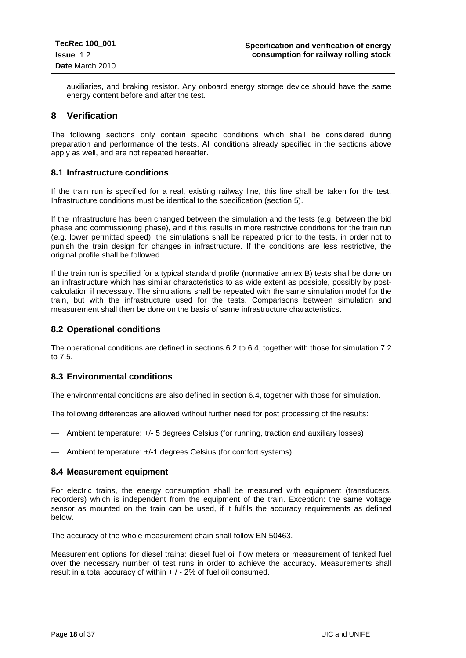auxiliaries, and braking resistor. Any onboard energy storage device should have the same energy content before and after the test.

## <span id="page-17-0"></span>**8 Verification**

The following sections only contain specific conditions which shall be considered during preparation and performance of the tests. All conditions already specified in the sections above apply as well, and are not repeated hereafter.

#### <span id="page-17-1"></span>**8.1 Infrastructure conditions**

If the train run is specified for a real, existing railway line, this line shall be taken for the test. Infrastructure conditions must be identical to the specification (section 5).

If the infrastructure has been changed between the simulation and the tests (e.g. between the bid phase and commissioning phase), and if this results in more restrictive conditions for the train run (e.g. lower permitted speed), the simulations shall be repeated prior to the tests, in order not to punish the train design for changes in infrastructure. If the conditions are less restrictive, the original profile shall be followed.

If the train run is specified for a typical standard profile (normative annex B) tests shall be done on an infrastructure which has similar characteristics to as wide extent as possible, possibly by postcalculation if necessary. The simulations shall be repeated with the same simulation model for the train, but with the infrastructure used for the tests. Comparisons between simulation and measurement shall then be done on the basis of same infrastructure characteristics.

#### <span id="page-17-2"></span>**8.2 Operational conditions**

The operational conditions are defined in sections 6.2 to 6.4, together with those for simulation 7.2 to 7.5.

#### <span id="page-17-3"></span>**8.3 Environmental conditions**

The environmental conditions are also defined in section 6.4, together with those for simulation.

The following differences are allowed without further need for post processing of the results:

Ambient temperature: +/- 5 degrees Celsius (for running, traction and auxiliary losses)

Ambient temperature: +/-1 degrees Celsius (for comfort systems)

#### <span id="page-17-4"></span>**8.4 Measurement equipment**

For electric trains, the energy consumption shall be measured with equipment (transducers, recorders) which is independent from the equipment of the train. Exception: the same voltage sensor as mounted on the train can be used, if it fulfils the accuracy requirements as defined below.

The accuracy of the whole measurement chain shall follow EN 50463.

Measurement options for diesel trains: diesel fuel oil flow meters or measurement of tanked fuel over the necessary number of test runs in order to achieve the accuracy. Measurements shall result in a total accuracy of within  $+/-2\%$  of fuel oil consumed.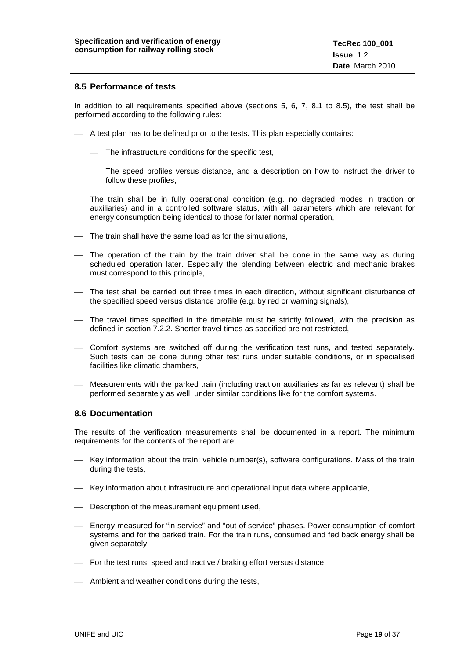#### <span id="page-18-0"></span>**8.5 Performance of tests**

In addition to all requirements specified above (sections 5, 6, 7, 8.1 to 8.5), the test shall be performed according to the following rules:

- $\overline{\phantom{a}}$  A test plan has to be defined prior to the tests. This plan especially contains:
	- The infrastructure conditions for the specific test,
	- The speed profiles versus distance, and a description on how to instruct the driver to follow these profiles,
- The train shall be in fully operational condition (e.g. no degraded modes in traction or auxiliaries) and in a controlled software status, with all parameters which are relevant for energy consumption being identical to those for later normal operation,
- The train shall have the same load as for the simulations,
- The operation of the train by the train driver shall be done in the same way as during scheduled operation later. Especially the blending between electric and mechanic brakes must correspond to this principle,
- The test shall be carried out three times in each direction, without significant disturbance of the specified speed versus distance profile (e.g. by red or warning signals),
- The travel times specified in the timetable must be strictly followed, with the precision as defined in section 7.2.2. Shorter travel times as specified are not restricted,
- Comfort systems are switched off during the verification test runs, and tested separately. Such tests can be done during other test runs under suitable conditions, or in specialised facilities like climatic chambers,
- Measurements with the parked train (including traction auxiliaries as far as relevant) shall be performed separately as well, under similar conditions like for the comfort systems.

#### <span id="page-18-1"></span>**8.6 Documentation**

The results of the verification measurements shall be documented in a report. The minimum requirements for the contents of the report are:

- Key information about the train: vehicle number(s), software configurations. Mass of the train during the tests,
- Key information about infrastructure and operational input data where applicable,
- Description of the measurement equipment used,
- Energy measured for "in service" and "out of service" phases. Power consumption of comfort systems and for the parked train. For the train runs, consumed and fed back energy shall be given separately,
- For the test runs: speed and tractive / braking effort versus distance,
- Ambient and weather conditions during the tests,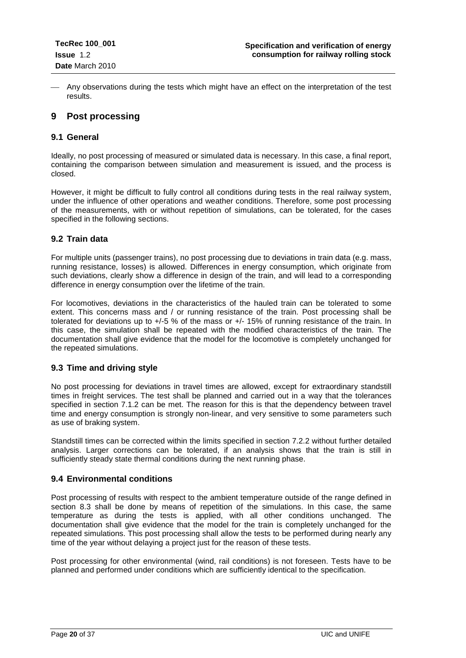Any observations during the tests which might have an effect on the interpretation of the test results.

## <span id="page-19-0"></span>**9 Post processing**

#### <span id="page-19-1"></span>**9.1 General**

Ideally, no post processing of measured or simulated data is necessary. In this case, a final report, containing the comparison between simulation and measurement is issued, and the process is closed.

However, it might be difficult to fully control all conditions during tests in the real railway system, under the influence of other operations and weather conditions. Therefore, some post processing of the measurements, with or without repetition of simulations, can be tolerated, for the cases specified in the following sections.

#### <span id="page-19-2"></span>**9.2 Train data**

For multiple units (passenger trains), no post processing due to deviations in train data (e.g. mass, running resistance, losses) is allowed. Differences in energy consumption, which originate from such deviations, clearly show a difference in design of the train, and will lead to a corresponding difference in energy consumption over the lifetime of the train.

For locomotives, deviations in the characteristics of the hauled train can be tolerated to some extent. This concerns mass and / or running resistance of the train. Post processing shall be tolerated for deviations up to +/-5 % of the mass or +/- 15% of running resistance of the train. In this case, the simulation shall be repeated with the modified characteristics of the train. The documentation shall give evidence that the model for the locomotive is completely unchanged for the repeated simulations.

## <span id="page-19-3"></span>**9.3 Time and driving style**

No post processing for deviations in travel times are allowed, except for extraordinary standstill times in freight services. The test shall be planned and carried out in a way that the tolerances specified in section 7.1.2 can be met. The reason for this is that the dependency between travel time and energy consumption is strongly non-linear, and very sensitive to some parameters such as use of braking system.

Standstill times can be corrected within the limits specified in section 7.2.2 without further detailed analysis. Larger corrections can be tolerated, if an analysis shows that the train is still in sufficiently steady state thermal conditions during the next running phase.

## <span id="page-19-4"></span>**9.4 Environmental conditions**

Post processing of results with respect to the ambient temperature outside of the range defined in section 8.3 shall be done by means of repetition of the simulations. In this case, the same temperature as during the tests is applied, with all other conditions unchanged. The documentation shall give evidence that the model for the train is completely unchanged for the repeated simulations. This post processing shall allow the tests to be performed during nearly any time of the year without delaying a project just for the reason of these tests.

Post processing for other environmental (wind, rail conditions) is not foreseen. Tests have to be planned and performed under conditions which are sufficiently identical to the specification.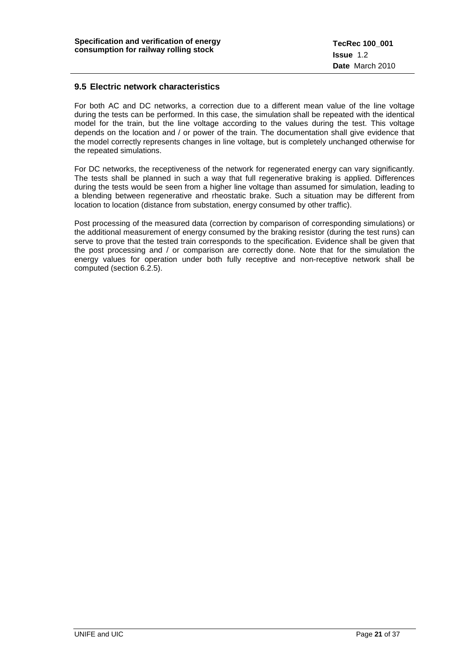#### <span id="page-20-0"></span>**9.5 Electric network characteristics**

For both AC and DC networks, a correction due to a different mean value of the line voltage during the tests can be performed. In this case, the simulation shall be repeated with the identical model for the train, but the line voltage according to the values during the test. This voltage depends on the location and / or power of the train. The documentation shall give evidence that the model correctly represents changes in line voltage, but is completely unchanged otherwise for the repeated simulations.

For DC networks, the receptiveness of the network for regenerated energy can vary significantly. The tests shall be planned in such a way that full regenerative braking is applied. Differences during the tests would be seen from a higher line voltage than assumed for simulation, leading to a blending between regenerative and rheostatic brake. Such a situation may be different from location to location (distance from substation, energy consumed by other traffic).

<span id="page-20-1"></span>Post processing of the measured data (correction by comparison of corresponding simulations) or the additional measurement of energy consumed by the braking resistor (during the test runs) can serve to prove that the tested train corresponds to the specification. Evidence shall be given that the post processing and / or comparison are correctly done. Note that for the simulation the energy values for operation under both fully receptive and non-receptive network shall be computed (section 6.2.5).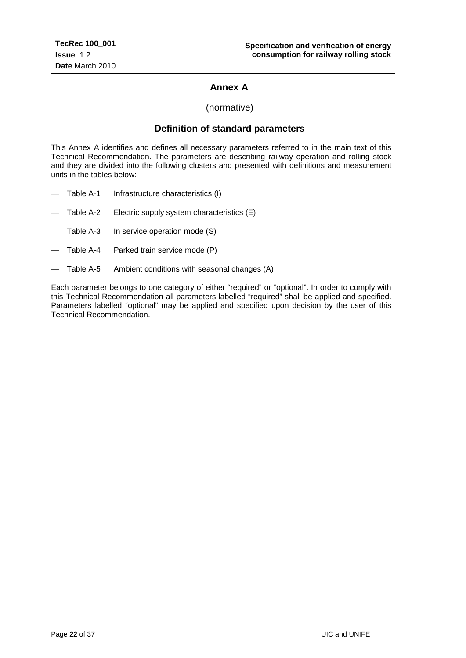## **Annex A**

(normative)

## **Definition of standard parameters**

This Annex A identifies and defines all necessary parameters referred to in the main text of this Technical Recommendation. The parameters are describing railway operation and rolling stock and they are divided into the following clusters and presented with definitions and measurement units in the tables below:

- Table A-1 Infrastructure characteristics (I)
- Table A-2 Electric supply system characteristics (E)
- Table A-3 In service operation mode (S)
- Table A-4 Parked train service mode (P)
- Table A-5 Ambient conditions with seasonal changes (A)

Each parameter belongs to one category of either "required" or "optional". In order to comply with this Technical Recommendation all parameters labelled "required" shall be applied and specified. Parameters labelled "optional" may be applied and specified upon decision by the user of this Technical Recommendation.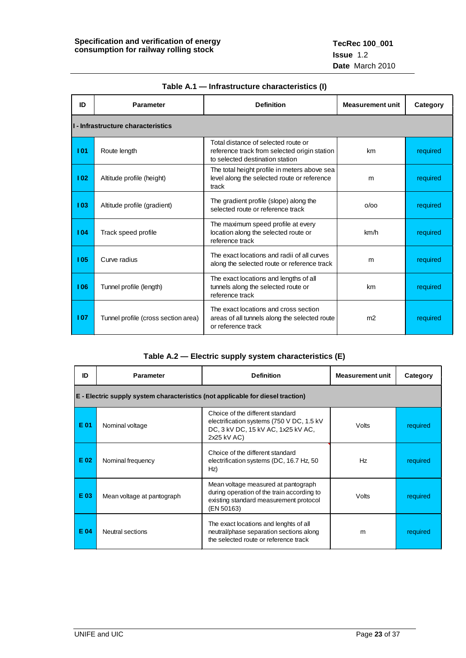| ID  | <b>Parameter</b>                    | <b>Definition</b>                                                                                                      |                | Category |  |  |  |  |
|-----|-------------------------------------|------------------------------------------------------------------------------------------------------------------------|----------------|----------|--|--|--|--|
|     | I - Infrastructure characteristics  |                                                                                                                        |                |          |  |  |  |  |
| 101 | Route length                        | Total distance of selected route or<br>reference track from selected origin station<br>to selected destination station | km             | required |  |  |  |  |
| 102 | Altitude profile (height)           | The total height profile in meters above sea<br>level along the selected route or reference<br>track                   | m              | required |  |  |  |  |
| 103 | Altitude profile (gradient)         | The gradient profile (slope) along the<br>selected route or reference track                                            | O/OO           | required |  |  |  |  |
| 104 | Track speed profile                 | The maximum speed profile at every<br>location along the selected route or<br>reference track                          | km/h           | required |  |  |  |  |
| 105 | Curve radius                        | The exact locations and radii of all curves<br>along the selected route or reference track                             | m              | required |  |  |  |  |
| 106 | Tunnel profile (length)             | The exact locations and lengths of all<br>tunnels along the selected route or<br>reference track                       | km             | required |  |  |  |  |
| 107 | Tunnel profile (cross section area) | The exact locations and cross section<br>areas of all tunnels along the selected route<br>or reference track           | m <sub>2</sub> | required |  |  |  |  |

#### **Table A.1 — Infrastructure characteristics (I)**

### **Table A.2 — Electric supply system characteristics (E)**

| ID   | <b>Parameter</b><br><b>Definition</b>                                           |                                                                                                                                           | <b>Measurement unit</b> | Category |  |  |  |  |
|------|---------------------------------------------------------------------------------|-------------------------------------------------------------------------------------------------------------------------------------------|-------------------------|----------|--|--|--|--|
|      | E - Electric supply system characteristics (not applicable for diesel traction) |                                                                                                                                           |                         |          |  |  |  |  |
| E 01 | Nominal voltage                                                                 | Choice of the different standard<br>electrification systems (750 V DC, 1.5 kV)<br>DC, 3 kV DC, 15 kV AC, 1x25 kV AC,<br>2x25 kV AC)       | Volts                   | required |  |  |  |  |
| E 02 | Nominal frequency                                                               | Choice of the different standard<br>electrification systems (DC, 16.7 Hz, 50)<br>Hz)                                                      | Hz                      | required |  |  |  |  |
| E 03 | Mean voltage at pantograph                                                      | Mean voltage measured at pantograph<br>during operation of the train according to<br>existing standard measurement protocol<br>(EN 50163) | Volts                   | required |  |  |  |  |
| E 04 | Neutral sections                                                                | The exact locations and lenghts of all<br>neutral/phase separation sections along<br>the selected route or reference track                | m                       | required |  |  |  |  |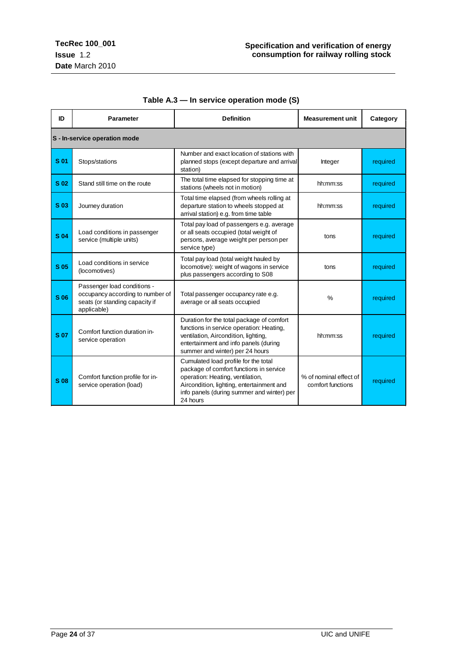| ID         | <b>Parameter</b>                                                                                                 | <b>Definition</b>                                                                                                                                                                                                          | <b>Measurement unit</b>                     | Category |
|------------|------------------------------------------------------------------------------------------------------------------|----------------------------------------------------------------------------------------------------------------------------------------------------------------------------------------------------------------------------|---------------------------------------------|----------|
|            | S - In-service operation mode                                                                                    |                                                                                                                                                                                                                            |                                             |          |
| S 01       | Stops/stations                                                                                                   | Number and exact location of stations with<br>planned stops (except departure and arrival<br>station)                                                                                                                      | Integer                                     | required |
| S 02       | Stand still time on the route                                                                                    | The total time elapsed for stopping time at<br>stations (wheels not in motion)                                                                                                                                             | hh:mm:ss                                    | required |
| S 03       | Journey duration                                                                                                 | Total time elapsed (from wheels rolling at<br>departure station to wheels stopped at<br>arrival station) e.g. from time table                                                                                              | hh:mm:ss                                    | required |
| <b>S04</b> | Load conditions in passenger<br>service (multiple units)                                                         | Total pay load of passengers e.g. average<br>or all seats occupied (total weight of<br>persons, average weight per person per<br>service type)                                                                             | tons                                        | required |
| S 05       | Load conditions in service<br>(locomotives)                                                                      | Total pay load (total weight hauled by<br>locomotive): weight of wagons in service<br>plus passengers according to S08                                                                                                     | tons                                        | required |
| S 06       | Passenger load conditions -<br>occupancy according to number of<br>seats (or standing capacity if<br>applicable) | Total passenger occupancy rate e.g.<br>average or all seats occupied                                                                                                                                                       | $\frac{0}{0}$                               | required |
| <b>S07</b> | Comfort function duration in-<br>service operation                                                               | Duration for the total package of comfort<br>functions in service operation: Heating,<br>ventilation, Aircondition, lighting,<br>entertainment and info panels (during<br>summer and winter) per 24 hours                  | hh:mm:ss                                    | required |
| S 08       | Comfort function profile for in-<br>service operation (load)                                                     | Cumulated load profile for the total<br>package of comfort functions in service<br>operation: Heating, ventilation,<br>Aircondition, lighting, entertainment and<br>info panels (during summer and winter) per<br>24 hours | % of nominal effect of<br>comfort functions | required |

## **Table A.3 — In service operation mode (S)**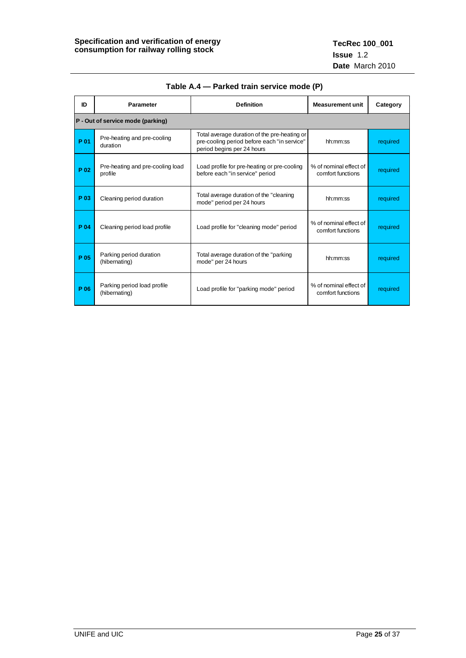| ID   | <b>Parameter</b>                             | <b>Definition</b>                                                                                                         |                                             | Category |
|------|----------------------------------------------|---------------------------------------------------------------------------------------------------------------------------|---------------------------------------------|----------|
|      | P - Out of service mode (parking)            |                                                                                                                           |                                             |          |
| P 01 | Pre-heating and pre-cooling<br>duration      | Total average duration of the pre-heating or<br>pre-cooling period before each "in service"<br>period begins per 24 hours | hh:mm:ss                                    | required |
| P 02 | Pre-heating and pre-cooling load<br>profile  | Load profile for pre-heating or pre-cooling<br>before each "in service" period                                            | % of nominal effect of<br>comfort functions | required |
| P 03 | Cleaning period duration                     | Total average duration of the "cleaning<br>mode" period per 24 hours                                                      | hh:mm:ss                                    | required |
| P 04 | Cleaning period load profile                 | Load profile for "cleaning mode" period                                                                                   | % of nominal effect of<br>comfort functions | required |
| P 05 | Parking period duration<br>(hibernating)     | Total average duration of the "parking"<br>mode" per 24 hours                                                             | hh:mm:ss                                    | required |
| P 06 | Parking period load profile<br>(hibernating) | Load profile for "parking mode" period                                                                                    | % of nominal effect of<br>comfort functions | required |

**Table A.4 — Parked train service mode (P)**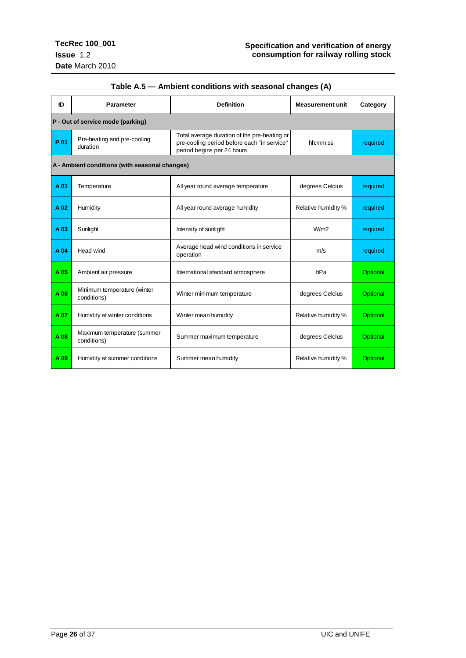<span id="page-25-0"></span>

| ID   | <b>Definition</b><br>Parameter                 |                                                                                                                           | <b>Measurement unit</b> | Category |
|------|------------------------------------------------|---------------------------------------------------------------------------------------------------------------------------|-------------------------|----------|
|      | P - Out of service mode (parking)              |                                                                                                                           |                         |          |
| P 01 | Pre-heating and pre-cooling<br>duration        | Total average duration of the pre-heating or<br>pre-cooling period before each "in service"<br>period begins per 24 hours | hh:mm:ss                | required |
|      | A - Ambient conditions (with seasonal changes) |                                                                                                                           |                         |          |
| A 01 | Temperature                                    | All year round average temperature                                                                                        | degrees Celcius         | required |
| A 02 | Humidity                                       | All year round average humidity                                                                                           | Relative humidity %     | required |
| A 03 | Sunlight                                       | Intensity of sunlight                                                                                                     | W/m2                    | required |
| A 04 | Head wind                                      | Average head wind conditions in service<br>operation                                                                      | m/s                     | required |
| A 05 | Ambient air pressure                           | International standard atmosphere                                                                                         | hPa                     | Optional |
| A06  | Minimum temperature (winter<br>conditions)     | Winter minimum temperature                                                                                                | degrees Celcius         | Optional |
| A 07 | Humidity at winter conditions                  | Winter mean humidity                                                                                                      | Relative humidity %     | Optional |
| A 08 | Maximum temperature (summer<br>conditions)     | Summer maximum temperature                                                                                                | degrees Celcius         | Optional |
| A 09 | Humidity at summer conditions                  | Summer mean humidity                                                                                                      | Relative humidity %     | Optional |

## **Table A.5 — Ambient conditions with seasonal changes (A)**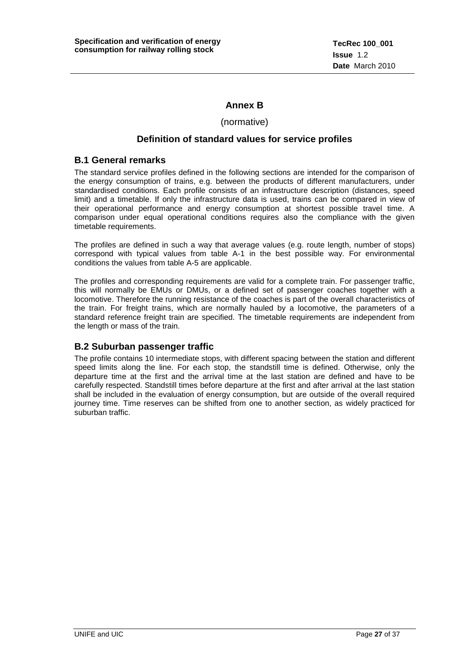## **Annex B**

#### (normative)

## **Definition of standard values for service profiles**

#### <span id="page-26-0"></span>**B.1 General remarks**

The standard service profiles defined in the following sections are intended for the comparison of the energy consumption of trains, e.g. between the products of different manufacturers, under standardised conditions. Each profile consists of an infrastructure description (distances, speed limit) and a timetable. If only the infrastructure data is used, trains can be compared in view of their operational performance and energy consumption at shortest possible travel time. A comparison under equal operational conditions requires also the compliance with the given timetable requirements.

The profiles are defined in such a way that average values (e.g. route length, number of stops) correspond with typical values from table A-1 in the best possible way. For environmental conditions the values from table A-5 are applicable.

The profiles and corresponding requirements are valid for a complete train. For passenger traffic, this will normally be EMUs or DMUs, or a defined set of passenger coaches together with a locomotive. Therefore the running resistance of the coaches is part of the overall characteristics of the train. For freight trains, which are normally hauled by a locomotive, the parameters of a standard reference freight train are specified. The timetable requirements are independent from the length or mass of the train.

## <span id="page-26-1"></span>**B.2 Suburban passenger traffic**

The profile contains 10 intermediate stops, with different spacing between the station and different speed limits along the line. For each stop, the standstill time is defined. Otherwise, only the departure time at the first and the arrival time at the last station are defined and have to be carefully respected. Standstill times before departure at the first and after arrival at the last station shall be included in the evaluation of energy consumption, but are outside of the overall required journey time. Time reserves can be shifted from one to another section, as widely practiced for suburban traffic.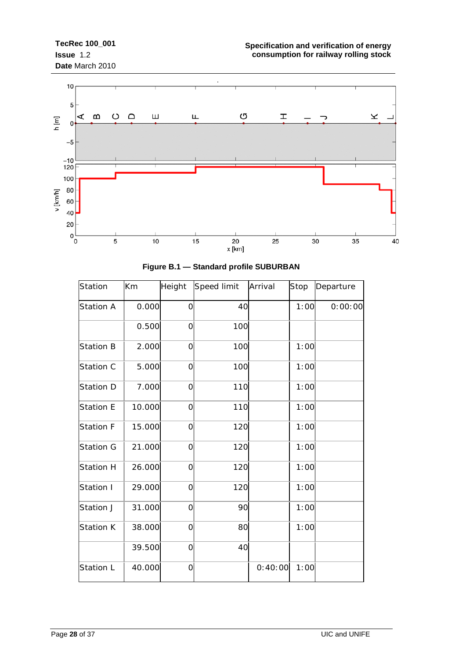

| Station          | Km     | Height         | Speed limit | Arrival | Stop | Departure |
|------------------|--------|----------------|-------------|---------|------|-----------|
| <b>Station A</b> | 0.000  | $\overline{O}$ | 40          |         | 1:00 | 0:00:00   |
|                  | 0.500  | $\overline{O}$ | 100         |         |      |           |
| <b>Station B</b> | 2.000  | $\mathbf 0$    | 100         |         | 1:00 |           |
| Station C        | 5.000  | $\overline{O}$ | 100         |         | 1:00 |           |
| Station D        | 7.000  | $\overline{O}$ | 110         |         | 1:00 |           |
| <b>Station E</b> | 10.000 | $\Omega$       | 110         |         | 1:00 |           |
| Station F        | 15.000 | $\overline{O}$ | 120         |         | 1:00 |           |
| <b>Station G</b> | 21.000 | 0              | 120         |         | 1:00 |           |
| <b>Station H</b> | 26.000 | $\overline{O}$ | 120         |         | 1:00 |           |
| Station I        | 29.000 | $\overline{O}$ | 120         |         | 1:00 |           |
| Station J        | 31.000 | $\overline{O}$ | 90          |         | 1:00 |           |
| Station K        | 38.000 | $\overline{O}$ | 80          |         | 1:00 |           |
|                  | 39.500 | $\overline{O}$ | 40          |         |      |           |
| Station L        | 40.000 | $\overline{O}$ |             | 0:40:00 | 1:00 |           |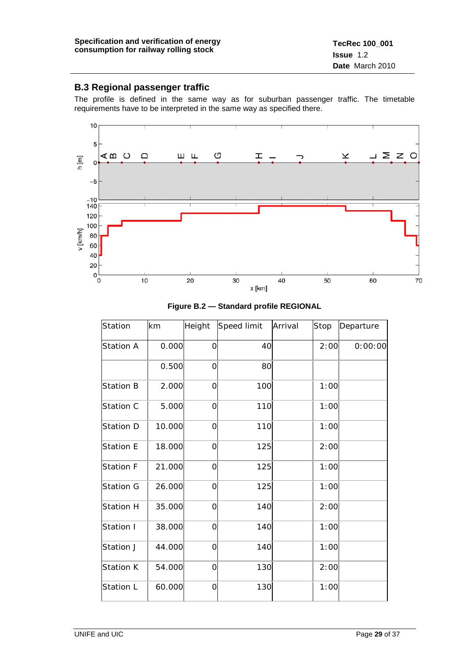## <span id="page-28-0"></span>**B.3 Regional passenger traffic**

The profile is defined in the same way as for suburban passenger traffic. The timetable requirements have to be interpreted in the same way as specified there.



| Station          | km     | Height      | Speed limit | Arrival | Stop | Departure |
|------------------|--------|-------------|-------------|---------|------|-----------|
| <b>Station A</b> | 0.000  | O           | 40          |         | 2:00 | 0:00:00   |
|                  | 0.500  | 0           | 80          |         |      |           |
| <b>Station B</b> | 2.000  | 0           | 100         |         | 1:00 |           |
| Station C        | 5.000  | O           | 110         |         | 1:00 |           |
| <b>Station D</b> | 10.000 | 0           | 110         |         | 1:00 |           |
| <b>Station E</b> | 18.000 | $\mathbf 0$ | 125         |         | 2:00 |           |
| <b>Station F</b> | 21.000 | 0           | 125         |         | 1:00 |           |
| <b>Station G</b> | 26.000 | $\Omega$    | 125         |         | 1:00 |           |
| <b>Station H</b> | 35.000 | 0           | 140         |         | 2:00 |           |
| Station I        | 38.000 | 0           | 140         |         | 1:00 |           |
| Station J        | 44.000 | 0           | 140         |         | 1:00 |           |
| Station K        | 54.000 | 0           | 130         |         | 2:00 |           |
| Station L        | 60.000 | O           | 130         |         | 1:00 |           |

**Figure B.2 — Standard profile REGIONAL**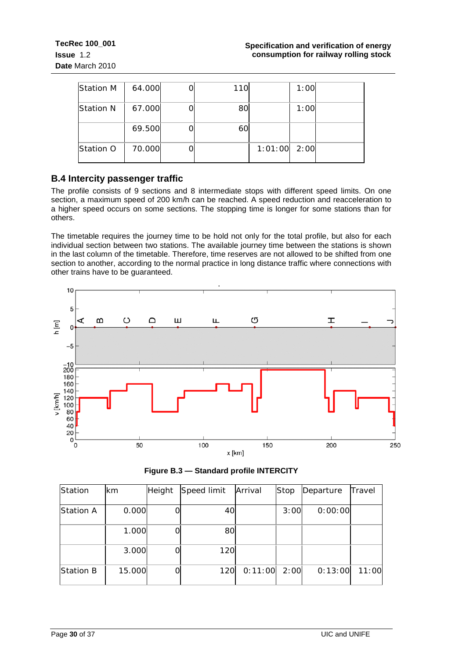| <b>Station M</b> | 64.000 | 110 |         | 1:00 |  |
|------------------|--------|-----|---------|------|--|
| <b>Station N</b> | 67.000 | 80  |         | 1:00 |  |
|                  | 69.500 | 60  |         |      |  |
| Station O        | 70.000 |     | 1:01:00 | 2:00 |  |

## <span id="page-29-0"></span>**B.4 Intercity passenger traffic**

The profile consists of 9 sections and 8 intermediate stops with different speed limits. On one section, a maximum speed of 200 km/h can be reached. A speed reduction and reacceleration to a higher speed occurs on some sections. The stopping time is longer for some stations than for others.

The timetable requires the journey time to be hold not only for the total profile, but also for each individual section between two stations. The available journey time between the stations is shown in the last column of the timetable. Therefore, time reserves are not allowed to be shifted from one section to another, according to the normal practice in long distance traffic where connections with other trains have to be guaranteed.



| lStation         | lkm    | Height | Speed limit | Arrival | Stop | Departure | Travel |
|------------------|--------|--------|-------------|---------|------|-----------|--------|
| Station A        | 0.000  |        | 40          |         | 3:00 | 0:00:00   |        |
|                  | 1.000  |        | 80          |         |      |           |        |
|                  | 3.000  |        | 120         |         |      |           |        |
| <b>Station B</b> | 15.000 |        | 120         | 0:11:00 | 2:00 | 0:13:00   | 11:00  |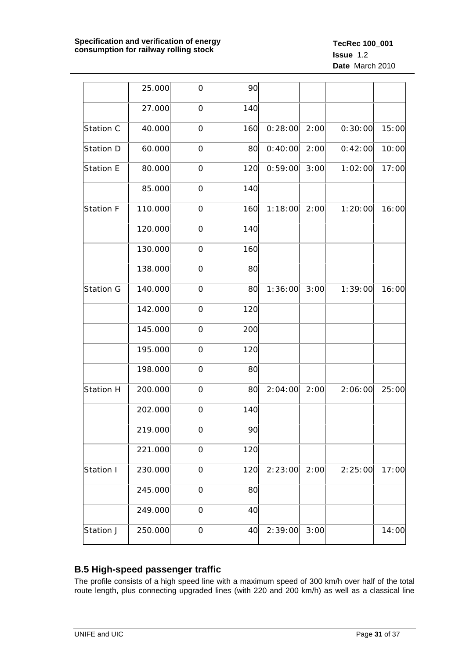|                  | 25.000  | $\overline{O}$ | 90  |         |      |         |       |
|------------------|---------|----------------|-----|---------|------|---------|-------|
|                  | 27.000  | $\mathbf 0$    | 140 |         |      |         |       |
| Station C        | 40.000  | $\mathbf 0$    | 160 | 0:28:00 | 2:00 | 0:30:00 | 15:00 |
| Station D        | 60.000  | $\mathbf 0$    | 80  | 0:40:00 | 2:00 | 0:42:00 | 10:00 |
| Station E        | 80.000  | $\mathbf 0$    | 120 | 0:59:00 | 3:00 | 1:02:00 | 17:00 |
|                  | 85.000  | $\overline{O}$ | 140 |         |      |         |       |
| Station F        | 110.000 | $\overline{O}$ | 160 | 1:18:00 | 2:00 | 1:20:00 | 16:00 |
|                  | 120.000 | $\mathbf 0$    | 140 |         |      |         |       |
|                  | 130.000 | $\mathbf 0$    | 160 |         |      |         |       |
|                  | 138.000 | $\mathbf 0$    | 80  |         |      |         |       |
| Station G        | 140.000 | $\mathbf 0$    | 80  | 1:36:00 | 3:00 | 1:39:00 | 16:00 |
|                  | 142.000 | $\mathbf 0$    | 120 |         |      |         |       |
|                  | 145.000 | $\overline{O}$ | 200 |         |      |         |       |
|                  | 195.000 | $\overline{O}$ | 120 |         |      |         |       |
|                  | 198.000 | $\mathbf 0$    | 80  |         |      |         |       |
| <b>Station H</b> | 200.000 | $\mathbf 0$    | 80  | 2:04:00 | 2:00 | 2:06:00 | 25:00 |
|                  | 202.000 | $\overline{O}$ | 140 |         |      |         |       |
|                  | 219.000 | $\overline{O}$ | 90  |         |      |         |       |
|                  | 221.000 | $\mathbf 0$    | 120 |         |      |         |       |
| Station I        | 230.000 | $\mathbf 0$    | 120 | 2:23:00 | 2:00 | 2:25:00 | 17:00 |
|                  | 245.000 | $\mathbf 0$    | 80  |         |      |         |       |
|                  | 249.000 | $\mathbf 0$    | 40  |         |      |         |       |
| Station J        | 250.000 | $\mathbf 0$    | 40  | 2:39:00 | 3:00 |         | 14:00 |

## <span id="page-30-0"></span>**B.5 High-speed passenger traffic**

The profile consists of a high speed line with a maximum speed of 300 km/h over half of the total route length, plus connecting upgraded lines (with 220 and 200 km/h) as well as a classical line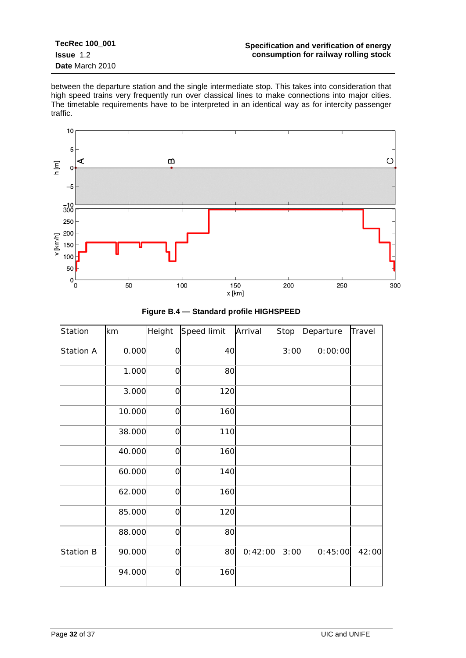**TecRec 100\_001 Issue** 1.2 **Date** March 2010

between the departure station and the single intermediate stop. This takes into consideration that high speed trains very frequently run over classical lines to make connections into major cities. The timetable requirements have to be interpreted in an identical way as for intercity passenger traffic.



| Station          | km     | Height         | Speed limit | Arrival | Stop | Departure | Travel |
|------------------|--------|----------------|-------------|---------|------|-----------|--------|
| <b>Station A</b> | 0.000  | $\mathbf 0$    | 40          |         | 3:00 | 0:00:00   |        |
|                  | 1.000  | $\overline{O}$ | 80          |         |      |           |        |
|                  | 3.000  | $\overline{O}$ | 120         |         |      |           |        |
|                  | 10.000 | $\overline{O}$ | 160         |         |      |           |        |
|                  | 38.000 | $\overline{O}$ | 110         |         |      |           |        |
|                  | 40.000 | $\overline{O}$ | 160         |         |      |           |        |
|                  | 60.000 | $\mathbf 0$    | 140         |         |      |           |        |
|                  | 62.000 | $\mathbf 0$    | 160         |         |      |           |        |
|                  | 85.000 | $\overline{O}$ | 120         |         |      |           |        |
|                  | 88.000 | $\overline{O}$ | 80          |         |      |           |        |
| <b>Station B</b> | 90.000 | $\mathbf 0$    | 80          | 0:42:00 | 3:00 | 0:45:00   | 42:00  |
|                  | 94.000 | $\overline{O}$ | 160         |         |      |           |        |
|                  |        |                |             |         |      |           |        |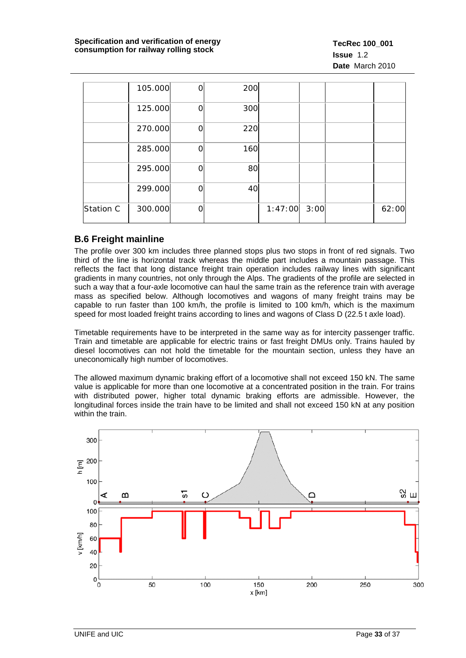|           | 105.000 | റ | 200 |                |  |       |
|-----------|---------|---|-----|----------------|--|-------|
|           | 125.000 | ∩ | 300 |                |  |       |
|           | 270.000 |   | 220 |                |  |       |
|           | 285.000 | Ω | 160 |                |  |       |
|           | 295.000 | ∩ | 80  |                |  |       |
|           | 299.000 |   | 40  |                |  |       |
| Station C | 300.000 | ∩ |     | $1:47:00$ 3:00 |  | 62:00 |

## <span id="page-32-0"></span>**B.6 Freight mainline**

The profile over 300 km includes three planned stops plus two stops in front of red signals. Two third of the line is horizontal track whereas the middle part includes a mountain passage. This reflects the fact that long distance freight train operation includes railway lines with significant gradients in many countries, not only through the Alps. The gradients of the profile are selected in such a way that a four-axle locomotive can haul the same train as the reference train with average mass as specified below. Although locomotives and wagons of many freight trains may be capable to run faster than 100 km/h, the profile is limited to 100 km/h, which is the maximum speed for most loaded freight trains according to lines and wagons of Class D (22.5 t axle load).

Timetable requirements have to be interpreted in the same way as for intercity passenger traffic. Train and timetable are applicable for electric trains or fast freight DMUs only. Trains hauled by diesel locomotives can not hold the timetable for the mountain section, unless they have an uneconomically high number of locomotives.

The allowed maximum dynamic braking effort of a locomotive shall not exceed 150 kN. The same value is applicable for more than one locomotive at a concentrated position in the train. For trains with distributed power, higher total dynamic braking efforts are admissible. However, the longitudinal forces inside the train have to be limited and shall not exceed 150 kN at any position within the train.

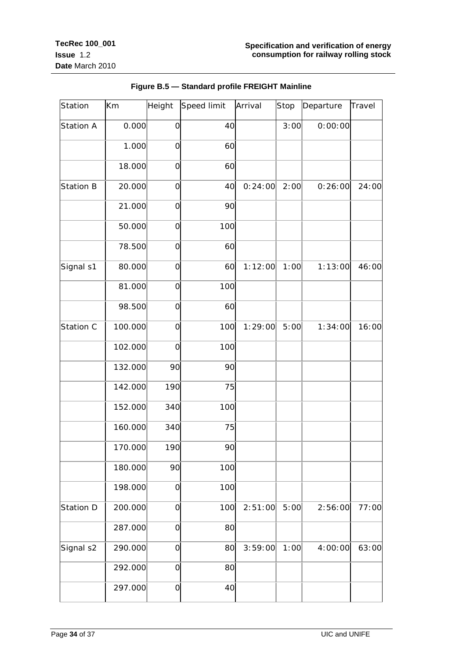| Station          | Km      | Height         | Speed limit | Arrival | Stop | Departure | Travel |
|------------------|---------|----------------|-------------|---------|------|-----------|--------|
| Station A        | 0.000   | $\mathbf 0$    | 40          |         | 3:00 | 0:00:00   |        |
|                  | 1.000   | $\mathbf 0$    | 60          |         |      |           |        |
|                  | 18.000  | $\mathbf 0$    | 60          |         |      |           |        |
| <b>Station B</b> | 20.000  | $\mathbf 0$    | 40          | 0:24:00 | 2:00 | 0:26:00   | 24:00  |
|                  | 21.000  | $\overline{O}$ | 90          |         |      |           |        |
|                  | 50.000  | $\mathbf 0$    | 100         |         |      |           |        |
|                  | 78.500  | $\mathbf 0$    | 60          |         |      |           |        |
| Signal s1        | 80.000  | $\mathbf 0$    | 60          | 1:12:00 | 1:00 | 1:13:00   | 46:00  |
|                  | 81.000  | $\mathbf 0$    | 100         |         |      |           |        |
|                  | 98.500  | $\mathbf 0$    | 60          |         |      |           |        |
| Station C        | 100.000 | $\mathbf 0$    | 100         | 1:29:00 | 5:00 | 1:34:00   | 16:00  |
|                  | 102.000 | $\overline{O}$ | 100         |         |      |           |        |
|                  | 132.000 | 90             | 90          |         |      |           |        |
|                  | 142.000 | 190            | 75          |         |      |           |        |
|                  | 152.000 | 340            | 100         |         |      |           |        |
|                  | 160.000 | 340            | 75          |         |      |           |        |
|                  | 170.000 | 190            | 90          |         |      |           |        |
|                  | 180.000 | 90             | 100         |         |      |           |        |
|                  | 198.000 | $\overline{O}$ | 100         |         |      |           |        |
| Station D        | 200.000 | $\mathbf 0$    | 100         | 2:51:00 | 5:00 | 2:56:00   | 77:00  |
|                  | 287.000 | $\mathsf O$    | 80          |         |      |           |        |
| Signal s2        | 290.000 | $\mathsf O$    | 80          | 3:59:00 | 1:00 | 4:00:00   | 63:00  |
|                  | 292.000 | $\mathbf 0$    | 80          |         |      |           |        |
|                  | 297.000 | $\mathsf O$    | 40          |         |      |           |        |

## **Figure B.5 — Standard profile FREIGHT Mainline**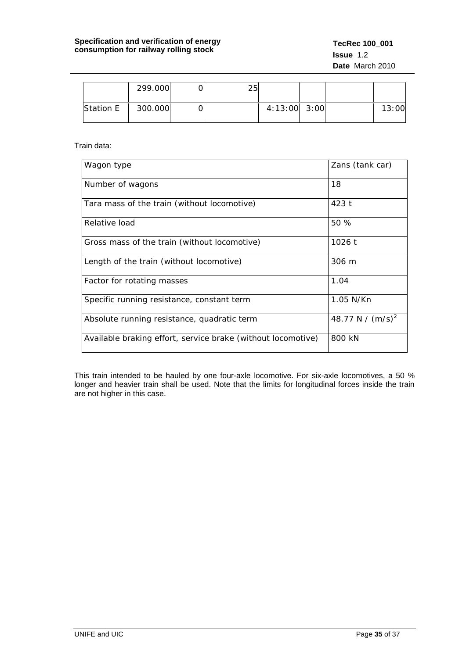|           | 299.000 | つに |                  |  |       |
|-----------|---------|----|------------------|--|-------|
| Station E | 300.000 |    | $4:13:00$ $3:00$ |  | 13:00 |

Train data:

| Wagon type                                                   | Zans (tank car)     |
|--------------------------------------------------------------|---------------------|
| Number of wagons                                             | 18                  |
| Tara mass of the train (without locomotive)                  | 423 t               |
| Relative load                                                | 50%                 |
| Gross mass of the train (without locomotive)                 | 1026 t              |
| Length of the train (without locomotive)                     | 306 m               |
| Factor for rotating masses                                   | 1.04                |
| Specific running resistance, constant term                   | 1.05 N/Kn           |
| Absolute running resistance, quadratic term                  | 48.77 N / $(m/s)^2$ |
| Available braking effort, service brake (without locomotive) | 800 kN              |

This train intended to be hauled by one four-axle locomotive. For six-axle locomotives, a 50 % longer and heavier train shall be used. Note that the limits for longitudinal forces inside the train are not higher in this case.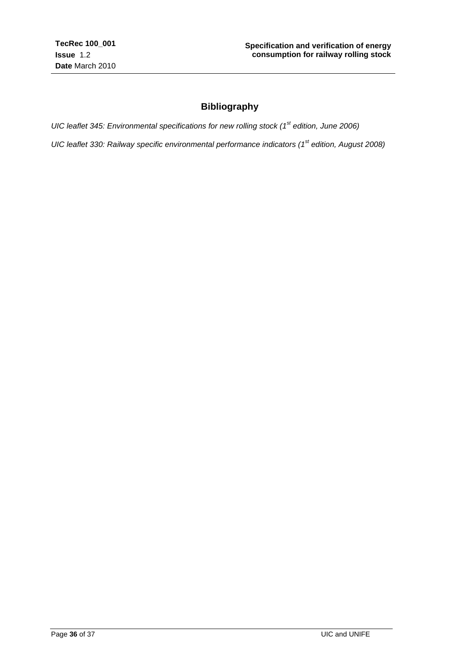## **Bibliography**

<span id="page-35-0"></span>*UIC leaflet 345: Environmental specifications for new rolling stock (1st edition, June 2006)*

*UIC leaflet 330: Railway specific environmental performance indicators (1st edition, August 2008)*